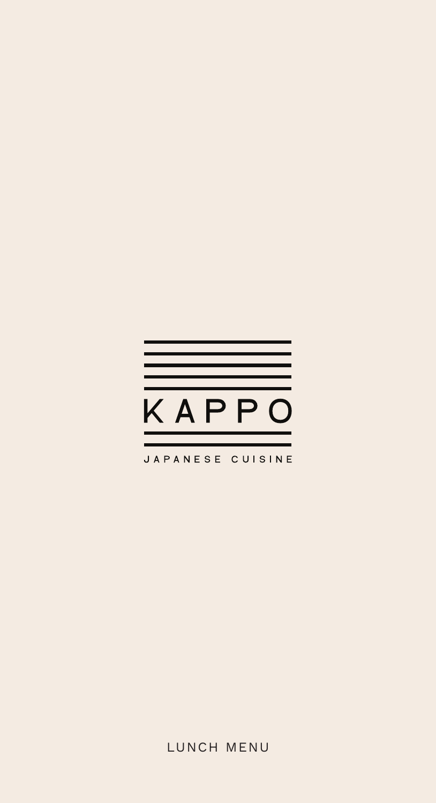

### LUNCH MENU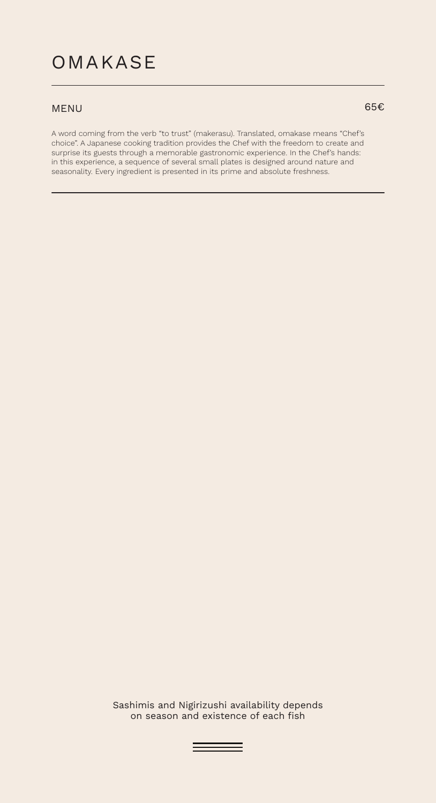### OMAKASE

#### MENU 65 $\epsilon$

A word coming from the verb "to trust" (makerasu). Translated, omakase means "Chef's choice". A Japanese cooking tradition provides the Chef with the freedom to create and surprise its guests through a memorable gastronomic experience. In the Chef's hands: in this experience, a sequence of several small plates is designed around nature and seasonality. Every ingredient is presented in its prime and absolute freshness.

> Sashimis and Nigirizushi availability depends on season and existence of each fish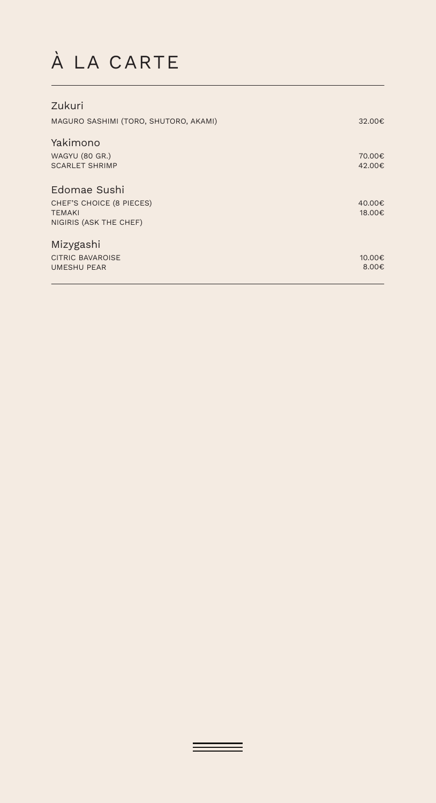# À LA CARTE

| Zukuri                                |                 |
|---------------------------------------|-----------------|
| MAGURO SASHIMI (TORO, SHUTORO, AKAMI) | 32.00€          |
| Yakimono                              |                 |
| <b>WAGYU (80 GR.)</b>                 | 70.00€          |
| <b>SCARLET SHRIMP</b>                 | 42.00€          |
| Edomae Sushi                          |                 |
| CHEF'S CHOICE (8 PIECES)              | 40.00€          |
| <b>TEMAKI</b>                         | 18.00€          |
| NIGIRIS (ASK THE CHEF)                |                 |
| Mizygashi                             |                 |
| <b>CITRIC BAVAROISE</b>               | 10.00€          |
| <b>UMESHU PEAR</b>                    | 8.00 $\epsilon$ |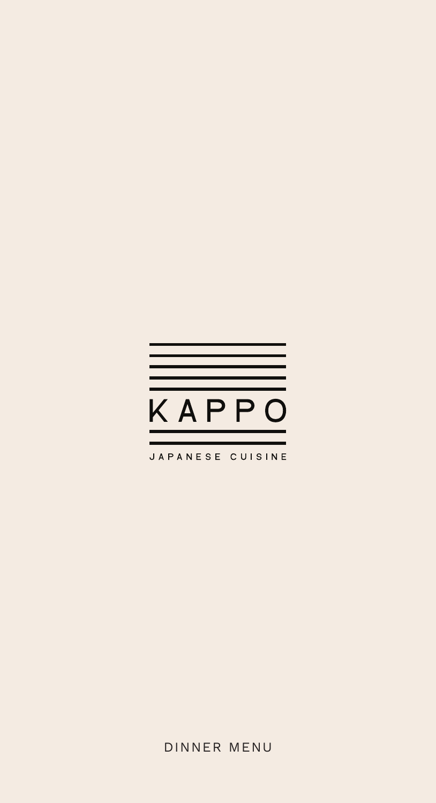

JAPANESE CUISINE

DINNER MENU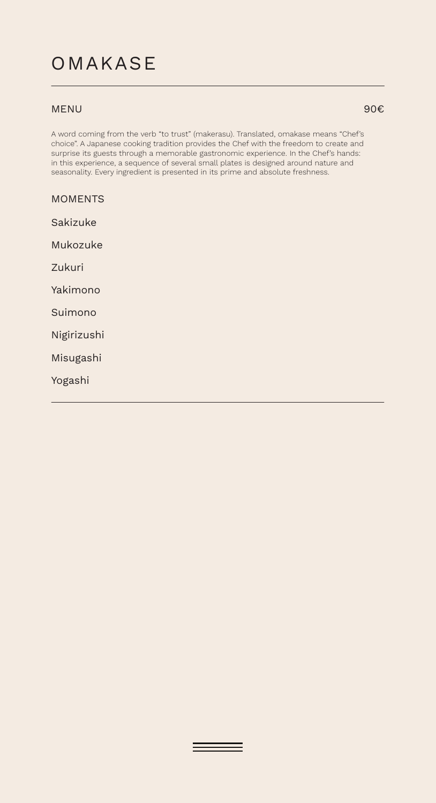## OMAKASE

#### MENU

A word coming from the verb "to trust" (makerasu). Translated, omakase means "Chef's choice". A Japanese cooking tradition provides the Chef with the freedom to create and surprise its guests through a memorable gastronomic experience. In the Chef's hands: in this experience, a sequence of several small plates is designed around nature and seasonality. Every ingredient is presented in its prime and absolute freshness.

| <b>MOMENTS</b> |
|----------------|
| Sakizuke       |
| Mukozuke       |
| Zukuri         |
| Yakimono       |
| Suimono        |
| Nigirizushi    |
| Misugashi      |
| Yogashi        |

90€